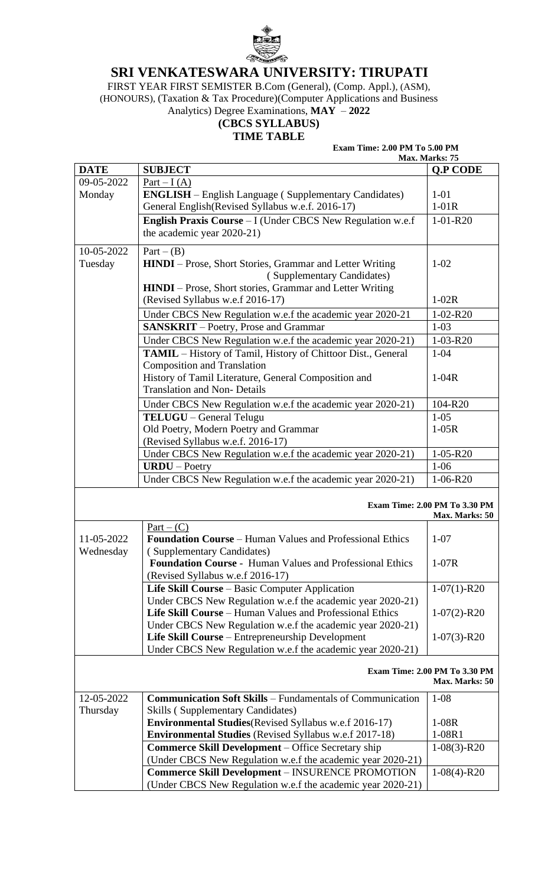

# **SRI VENKATESWARA UNIVERSITY: TIRUPATI**

FIRST YEAR FIRST SEMISTER B.Com (General), (Comp. Appl.), (ASM), (HONOURS), (Taxation & Tax Procedure)(Computer Applications and Business

Analytics) Degree Examinations, **MAY** – **2022**

## **(CBCS SYLLABUS) TIME TABLE**

### **Exam Time: 2.00 PM To 5.00 PM**

**Max. Marks: 75**

| <b>DATE</b> | <b>SUBJECT</b>                                                    | Q.P CODE                                               |
|-------------|-------------------------------------------------------------------|--------------------------------------------------------|
| 09-05-2022  | Part $-I(A)$                                                      |                                                        |
| Monday      | <b>ENGLISH</b> – English Language (Supplementary Candidates)      | $1-01$                                                 |
|             | General English(Revised Syllabus w.e.f. 2016-17)                  | $1-01R$                                                |
|             | <b>English Praxis Course</b> – I (Under CBCS New Regulation w.e.f | $1-01-R20$                                             |
|             | the academic year 2020-21)                                        |                                                        |
| 10-05-2022  | $Part - (B)$                                                      |                                                        |
| Tuesday     | <b>HINDI</b> – Prose, Short Stories, Grammar and Letter Writing   | $1 - 02$                                               |
|             | (Supplementary Candidates)                                        |                                                        |
|             | <b>HINDI</b> – Prose, Short stories, Grammar and Letter Writing   |                                                        |
|             | (Revised Syllabus w.e.f 2016-17)                                  | $1-02R$                                                |
|             | Under CBCS New Regulation w.e.f the academic year 2020-21         | $1-02-R20$                                             |
|             | <b>SANSKRIT</b> – Poetry, Prose and Grammar                       | $1 - 03$                                               |
|             | Under CBCS New Regulation w.e.f the academic year 2020-21)        | $1 - 03 - R20$                                         |
|             | TAMIL - History of Tamil, History of Chittoor Dist., General      | $1 - 04$                                               |
|             | <b>Composition and Translation</b>                                |                                                        |
|             | History of Tamil Literature, General Composition and              | $1-04R$                                                |
|             | <b>Translation and Non- Details</b>                               |                                                        |
|             | Under CBCS New Regulation w.e.f the academic year 2020-21)        | 104-R20                                                |
|             | TELUGU - General Telugu                                           | $1 - 05$                                               |
|             | Old Poetry, Modern Poetry and Grammar                             | $1-05R$                                                |
|             | (Revised Syllabus w.e.f. 2016-17)                                 |                                                        |
|             | Under CBCS New Regulation w.e.f the academic year 2020-21)        | $1-05 - R20$                                           |
|             | $URDU - Poetry$                                                   | $1 - 06$                                               |
|             | Under CBCS New Regulation w.e.f the academic year 2020-21)        | $1-06 - R20$                                           |
|             |                                                                   |                                                        |
|             |                                                                   | <b>Exam Time: 2.00 PM To 3.30 PM</b>                   |
|             | $Part - (C)$                                                      | Max. Marks: 50                                         |
| 11-05-2022  | <b>Foundation Course – Human Values and Professional Ethics</b>   | $1 - 07$                                               |
| Wednesday   | (Supplementary Candidates)                                        |                                                        |
|             | <b>Foundation Course - Human Values and Professional Ethics</b>   | $1-07R$                                                |
|             | (Revised Syllabus w.e.f 2016-17)                                  |                                                        |
|             | Life Skill Course – Basic Computer Application                    | $1-07(1)$ -R20                                         |
|             | Under CBCS New Regulation w.e.f the academic year 2020-21)        |                                                        |
|             | Life Skill Course - Human Values and Professional Ethics          | $1-07(2)$ -R20                                         |
|             | Under CBCS New Regulation w.e.f the academic year 2020-21)        |                                                        |
|             | Life Skill Course – Entrepreneurship Development                  | $1-07(3) - R20$                                        |
|             | Under CBCS New Regulation w.e.f the academic year 2020-21)        |                                                        |
|             |                                                                   |                                                        |
|             |                                                                   | <b>Exam Time: 2.00 PM To 3.30 PM</b><br>Max. Marks: 50 |
| 12-05-2022  | <b>Communication Soft Skills - Fundamentals of Communication</b>  | $1 - 08$                                               |
| Thursday    | <b>Skills (Supplementary Candidates)</b>                          |                                                        |
|             | <b>Environmental Studies</b> (Revised Syllabus w.e.f 2016-17)     | $1-08R$                                                |
|             | <b>Environmental Studies</b> (Revised Syllabus w.e.f 2017-18)     | 1-08R1                                                 |
|             | Commerce Skill Development - Office Secretary ship                | $1-08(3)$ -R20                                         |
|             | (Under CBCS New Regulation w.e.f the academic year 2020-21)       |                                                        |
|             | <b>Commerce Skill Development - INSURENCE PROMOTION</b>           | $1-08(4)$ -R20                                         |
|             | (Under CBCS New Regulation w.e.f the academic year 2020-21)       |                                                        |